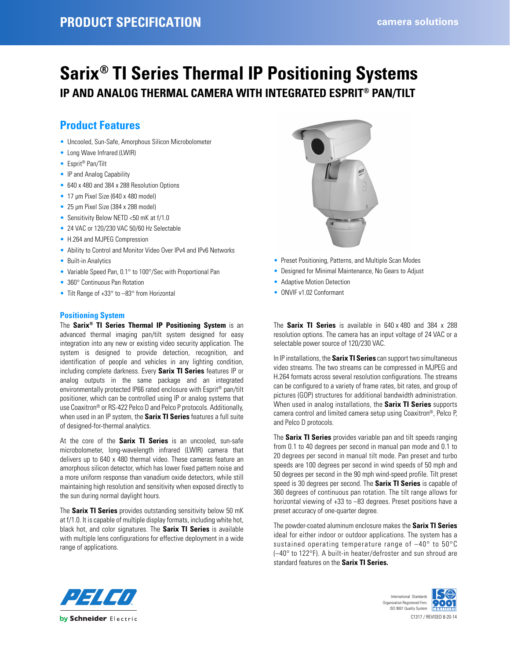# **Sarix® TI Series Thermal IP Positioning Systems IP AND ANALOG THERMAL CAMERA WITH INTEGRATED ESPRIT® PAN/TILT**

# **Product Features**

- Uncooled, Sun-Safe, Amorphous Silicon Microbolometer
- Long Wave Infrared (LWIR)
- Esprit® Pan/Tilt
- IP and Analog Capability
- 640 x 480 and 384 x 288 Resolution Options
- 17 µm Pixel Size (640 x 480 model)
- 25 µm Pixel Size (384 x 288 model)
- Sensitivity Below NETD <50 mK at f/1.0
- 24 VAC or 120/230 VAC 50/60 Hz Selectable
- H.264 and MJPEG Compression
- Ability to Control and Monitor Video Over IPv4 and IPv6 Networks
- Built-in Analytics
- Variable Speed Pan, 0.1° to 100°/Sec with Proportional Pan
- 360° Continuous Pan Rotation
- Tilt Range of +33° to -83° from Horizontal

### **Positioning System**

The **Sarix® TI Series Thermal IP Positioning System** is an advanced thermal imaging pan/tilt system designed for easy integration into any new or existing video security application. The system is designed to provide detection, recognition, and identification of people and vehicles in any lighting condition, including complete darkness. Every **Sarix TI Series** features IP or analog outputs in the same package and an integrated environmentally protected IP66 rated enclosure with Esprit® pan/tilt positioner, which can be controlled using IP or analog systems that use Coaxitron® or RS-422 Pelco D and Pelco P protocols. Additionally, when used in an IP system, the **Sarix TI Series** features a full suite of designed-for-thermal analytics.

At the core of the **Sarix TI Series** is an uncooled, sun-safe microbolometer, long-wavelength infrared (LWIR) camera that delivers up to 640 x 480 thermal video. These cameras feature an amorphous silicon detector, which has lower fixed pattern noise and a more uniform response than vanadium oxide detectors, while still maintaining high resolution and sensitivity when exposed directly to the sun during normal daylight hours.

The **Sarix TI Series** provides outstanding sensitivity below 50 mK at f/1.0. It is capable of multiple display formats, including white hot, black hot, and color signatures. The **Sarix TI Series** is available with multiple lens configurations for effective deployment in a wide range of applications.



- Preset Positioning, Patterns, and Multiple Scan Modes
- Designed for Minimal Maintenance, No Gears to Adjust
- Adaptive Motion Detection
- ONVIF v1.02 Conformant

The **Sarix TI Series** is available in 640 x 480 and 384 x 288 resolution options. The camera has an input voltage of 24 VAC or a selectable power source of 120/230 VAC.

In IP installations, the **Sarix TI Series** can support two simultaneous video streams. The two streams can be compressed in MJPEG and H.264 formats across several resolution configurations. The streams can be configured to a variety of frame rates, bit rates, and group of pictures (GOP) structures for additional bandwidth administration. When used in analog installations, the **Sarix TI Series** supports camera control and limited camera setup using Coaxitron®, Pelco P, and Pelco D protocols.

The **Sarix TI Series** provides variable pan and tilt speeds ranging from 0.1 to 40 degrees per second in manual pan mode and 0.1 to 20 degrees per second in manual tilt mode. Pan preset and turbo speeds are 100 degrees per second in wind speeds of 50 mph and 50 degrees per second in the 90 mph wind-speed profile. Tilt preset speed is 30 degrees per second. The **Sarix TI Series** is capable of 360 degrees of continuous pan rotation. The tilt range allows for horizontal viewing of +33 to –83 degrees. Preset positions have a preset accuracy of one-quarter degree.

The powder-coated aluminum enclosure makes the **Sarix TI Series** ideal for either indoor or outdoor applications. The system has a sustained operating temperature range of –40° to 50°C (–40° to 122°F). A built-in heater/defroster and sun shroud are standard features on the **Sarix TI Series.**



C1317 / REVISED 8-20-14 International Standards Organization Registered Firm; ISO 9001 Quality System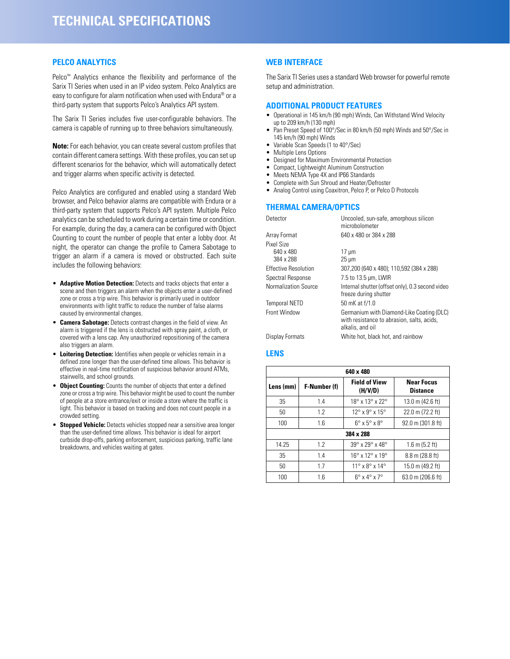#### **PELCO ANALYTICS**

Pelco<sup>™</sup> Analytics enhance the flexibility and performance of the Sarix TI Series when used in an IP video system. Pelco Analytics are easy to configure for alarm notification when used with Endura® or a third-party system that supports Pelco's Analytics API system.

The Sarix TI Series includes five user-configurable behaviors. The camera is capable of running up to three behaviors simultaneously.

**Note:** For each behavior, you can create several custom profiles that contain different camera settings. With these profiles, you can set up different scenarios for the behavior, which will automatically detect and trigger alarms when specific activity is detected.

Pelco Analytics are configured and enabled using a standard Web browser, and Pelco behavior alarms are compatible with Endura or a third-party system that supports Pelco's API system. Multiple Pelco analytics can be scheduled to work during a certain time or condition. For example, during the day, a camera can be configured with Object Counting to count the number of people that enter a lobby door. At night, the operator can change the profile to Camera Sabotage to trigger an alarm if a camera is moved or obstructed. Each suite includes the following behaviors:

- **Adaptive Motion Detection:** Detects and tracks objects that enter a scene and then triggers an alarm when the objects enter a user-defined zone or cross a trip wire. This behavior is primarily used in outdoor environments with light traffic to reduce the number of false alarms caused by environmental changes.
- **Camera Sabotage:** Detects contrast changes in the field of view. An alarm is triggered if the lens is obstructed with spray paint, a cloth, or covered with a lens cap. Any unauthorized repositioning of the camera also triggers an alarm.
- **Loitering Detection:** Identifies when people or vehicles remain in a defined zone longer than the user-defined time allows. This behavior is effective in real-time notification of suspicious behavior around ATMs, stairwells, and school grounds.
- **Object Counting:** Counts the number of objects that enter a defined zone or cross a trip wire. This behavior might be used to count the number of people at a store entrance/exit or inside a store where the traffic is light. This behavior is based on tracking and does not count people in a crowded setting.
- **Stopped Vehicle:** Detects vehicles stopped near a sensitive area longer than the user-defined time allows. This behavior is ideal for airport curbside drop-offs, parking enforcement, suspicious parking, traffic lane breakdowns, and vehicles waiting at gates.

#### **WEB INTERFACE**

The Sarix TI Series uses a standard Web browser for powerful remote setup and administration.

#### **ADDITIONAL PRODUCT FEATURES**

- Operational in 145 km/h (90 mph) Winds, Can Withstand Wind Velocity up to 209 km/h (130 mph)
- Pan Preset Speed of 100°/Sec in 80 km/h (50 mph) Winds and 50°/Sec in 145 km/h (90 mph) Winds
- Variable Scan Speeds (1 to 40°/Sec)
- Multiple Lens Options
- Designed for Maximum Environmental Protection
- Compact, Lightweight Aluminum Construction
- Meets NEMA Type 4X and IP66 Standards • Complete with Sun Shroud and Heater/Defroster
- Analog Control using Coaxitron, Pelco P, or Pelco D Protocols

#### **THERMAL CAMERA/OPTICS**

| Detector                    | Uncooled, sun-safe, amorphous silicon<br>microbolometer                                                     |
|-----------------------------|-------------------------------------------------------------------------------------------------------------|
| Array Format                | 640 x 480 or 384 x 288                                                                                      |
| Pixel Size                  |                                                                                                             |
| 640 x 480                   | $17 \mu m$                                                                                                  |
| 384 x 288                   | $25 \mu m$                                                                                                  |
| Effective Resolution        | 307,200 (640 x 480); 110,592 (384 x 288)                                                                    |
| Spectral Response           | 7.5 to 13.5 µm, LWIR                                                                                        |
| <b>Normalization Source</b> | Internal shutter (offset only), 0.3 second video<br>freeze during shutter                                   |
| <b>Temporal NETD</b>        | 50 mK at f/1.0                                                                                              |
| Front Window                | Germanium with Diamond-Like Coating (DLC)<br>with resistance to abrasion, salts, acids,<br>alkalis, and oil |
| Display Formats             | White hot, black hot, and rainbow                                                                           |
|                             |                                                                                                             |

#### **LENS**

| 640 x 480 |              |                                            |                                      |  |  |
|-----------|--------------|--------------------------------------------|--------------------------------------|--|--|
| Lens (mm) | F-Number (f) | <b>Field of View</b><br>(H/V/D)            | <b>Near Focus</b><br><b>Distance</b> |  |  |
| 35        | 1.4          | $18^{\circ}$ x $13^{\circ}$ x $22^{\circ}$ | 13.0 m (42.6 ft)                     |  |  |
| 50        | 1.2          | $12^{\circ}$ x $9^{\circ}$ x $15^{\circ}$  | 22.0 m (72.2 ft)                     |  |  |
| 100       | 1.6          | $6^\circ \times 5^\circ \times 8^\circ$    | 92.0 m (301.8 ft)                    |  |  |
|           | 384 x 288    |                                            |                                      |  |  |
| 14.25     | 1.2          | $39^\circ \times 29^\circ \times 48^\circ$ | $1.6$ m (5.2 ft)                     |  |  |
| 35        | 1.4          | $16^{\circ}$ x $12^{\circ}$ x $19^{\circ}$ | 8.8 m (28.8 ft)                      |  |  |
| 50        | 1.7          | $11^\circ$ x $8^\circ$ x $14^\circ$        | 15.0 m (49.2 ft)                     |  |  |
| 100       | 1.6          | $6^\circ$ x $4^\circ$ x $7^\circ$          | 63.0 m (206.6 ft)                    |  |  |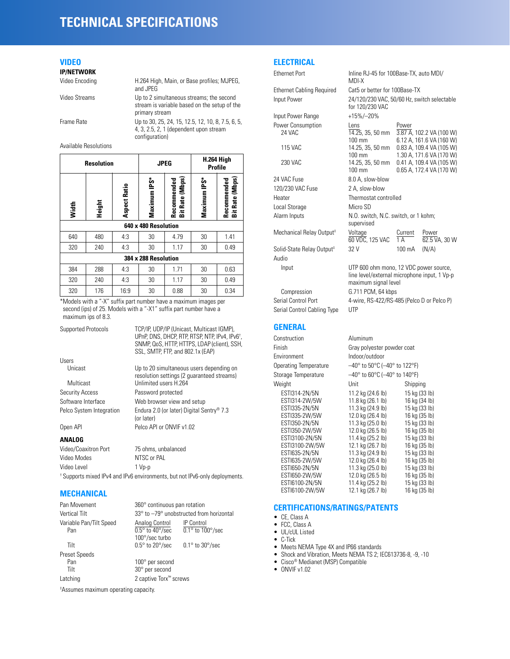# **TECHNICAL SPECIFICATIONS**

## **VIDEO**

**IP/NETWORK**

| Video Encoding | H.264 High, Main, or Base profiles; MJPEG,<br>and JPEG                                                     |
|----------------|------------------------------------------------------------------------------------------------------------|
| Video Streams  | Up to 2 simultaneous streams; the second<br>stream is variable based on the setup of the<br>primary stream |
| Frame Rate     | Up to 30, 25, 24, 15, 12.5, 12, 10, 8, 7.5, 6, 5,<br>4, 3, 2.5, 2, 1 (dependent upon stream                |

configuration)

Available Resolutions

|                      | <b>Resolution</b> |              | <b>JPEG</b>          |                                          | H.264 High<br><b>Profile</b> |                                |  |  |  |
|----------------------|-------------------|--------------|----------------------|------------------------------------------|------------------------------|--------------------------------|--|--|--|
| Width                | Height            | Aspect Ratio | Maximum IPS*         | (Mhps)<br>Recommended<br><b>Bit Rate</b> | Maximum IPS*                 | Bit Rate (Mbps)<br>Recommended |  |  |  |
|                      |                   |              | 640 x 480 Resolution |                                          |                              |                                |  |  |  |
| 640                  | 480               | 4:3          | 30                   | 4.79                                     | 30                           | 1.41                           |  |  |  |
| 320                  | 240               | 4:3          | 30                   | 1.17                                     | 30                           | 0.49                           |  |  |  |
| 384 x 288 Resolution |                   |              |                      |                                          |                              |                                |  |  |  |
| 384                  | 288               | 4:3          | 30                   | 1.71                                     | 30                           | 0.63                           |  |  |  |
| 320                  | 240               | 4:3          | 30                   | 1.17                                     | 30                           | 0.49                           |  |  |  |
| 320                  | 176               | 16:9         | 30                   | 0.88                                     | 30                           | 0.34                           |  |  |  |

\*Models with a "-X" suffix part number have a maximum images per second (ips) of 25. Models with a "-X1" suffix part number have a maximum ips of 8.3.

| Supported Protocols      | TCP/IP, UDP/IP (Unicast, Multicast IGMP),<br>UPnP, DNS, DHCP, RTP, RTSP, NTP, IPv4, IPv6 <sup>+</sup> ,<br>SNMP, QoS, HTTP, HTTPS, LDAP (client), SSH,<br>SSL, SMTP, FTP, and 802.1x (EAP) |
|--------------------------|--------------------------------------------------------------------------------------------------------------------------------------------------------------------------------------------|
| Users                    |                                                                                                                                                                                            |
| Unicast                  | Up to 20 simultaneous users depending on<br>resolution settings (2 quaranteed streams)                                                                                                     |
| Multicast                | Unlimited users H 264                                                                                                                                                                      |
| <b>Security Access</b>   | Password protected                                                                                                                                                                         |
| Software Interface       | Web browser view and setup                                                                                                                                                                 |
| Pelco System Integration | Endura 2.0 (or later) Digital Sentry <sup>®</sup> 7.3<br>(or later)                                                                                                                        |
| Open API                 | Pelco API or ONVIF v1.02                                                                                                                                                                   |
| <b>ANALOG</b>            |                                                                                                                                                                                            |
| Video/Coaxitron Port     | 75 ohms, unbalanced                                                                                                                                                                        |
| Video Modes              | NTSC or PAL                                                                                                                                                                                |
| Video Level              | 1 Vp-p                                                                                                                                                                                     |
|                          | <sup>†</sup> Supports mixed IPv4 and IPv6 environments, but not IPv6-only deployments.                                                                                                     |

#### **MECHANICAL**

| Pan Movement                   | 360° continuous pan rotation                                        |                                                      |  |
|--------------------------------|---------------------------------------------------------------------|------------------------------------------------------|--|
| Vertical Tilt                  | 33° to -79° unobstructed from horizontal                            |                                                      |  |
| Variable Pan/Tilt Speed<br>Pan | Analog Control<br>$0.5^\circ$ to 40 $^\circ$ /sec<br>100°/sec turbo | <b>IP Control</b><br>$0.1^\circ$ to $100^\circ$ /sec |  |
| Tilt                           | $0.5^\circ$ to 20 $^\circ$ /sec                                     | $0.1^\circ$ to $30^\circ$ /sec                       |  |
| <b>Preset Speeds</b>           |                                                                     |                                                      |  |
| Pan                            | 100° per second                                                     |                                                      |  |
| Tilt                           | 30° per second                                                      |                                                      |  |
| Latching                       | 2 captive Torx <sup>™</sup> screws                                  |                                                      |  |

‡ Assumes maximum operating capacity.

# **ELECTRICAL**

| <b>ELEVINIUAL</b>                     |                                                                        |                                                                                  |
|---------------------------------------|------------------------------------------------------------------------|----------------------------------------------------------------------------------|
| <b>Ethernet Port</b>                  | MDI-X                                                                  | Inline RJ-45 for 100Base-TX, auto MDI/                                           |
| <b>Ethernet Cabling Required</b>      | Cat5 or better for 100Base-TX                                          |                                                                                  |
| Input Power                           | for 120/230 VAC                                                        | 24/120/230 VAC, 50/60 Hz, switch selectable                                      |
| Input Power Range                     | $+15\%/ -20\%$                                                         |                                                                                  |
| Power Consumption                     | Lens                                                                   | Power                                                                            |
| 24 VAC                                | 14.25, 35, 50 mm                                                       | 3.87 A, 102.2 VA (100 W)                                                         |
|                                       | $100 \, \text{mm}$                                                     | 6.12 A, 161.6 VA (160 W)                                                         |
| <b>115 VAC</b>                        | 14.25, 35, 50 mm                                                       | 0.83 A, 109.4 VA (105 W)                                                         |
| 230 VAC                               | 100 mm<br>14.25, 35, 50 mm<br>$100 \text{ mm}$                         | 1.30 A, 171.6 VA (170 W)<br>0.41 A, 109.4 VA (105 W)<br>0.65 A, 172.4 VA (170 W) |
| 24 VAC Fuse                           | 8.0 A, slow-blow                                                       |                                                                                  |
| 120/230 VAC Fuse                      | 2 A, slow-blow                                                         |                                                                                  |
| Heater                                | Thermostat controlled                                                  |                                                                                  |
| Local Storage                         | Micro SD                                                               |                                                                                  |
| Alarm Inputs                          | N.O. switch, N.C. switch, or 1 kohm;<br>supervised                     |                                                                                  |
| Mechanical Relay Output <sup>#</sup>  | Voltage<br>Power<br>Current<br>60 VDC, 125 VAC<br>1 A<br>62.5 VA, 30 W |                                                                                  |
| Solid-State Relay Output <sup>#</sup> | 32 V                                                                   | (N/A)<br>100 mA                                                                  |
| Audio                                 |                                                                        |                                                                                  |
| Input                                 |                                                                        | UTP 600 ohm mono, 12 VDC power source,                                           |
|                                       | maximum signal level                                                   | line level/external microphone input, 1 Vp-p                                     |
| Compression                           | G.711 PCM, 64 kbps                                                     |                                                                                  |
| Serial Control Port                   | 4-wire, RS-422/RS-485 (Pelco D or Pelco P)                             |                                                                                  |
| Serial Control Cabling Type           | UTP                                                                    |                                                                                  |
| <b>GENERAL</b>                        |                                                                        |                                                                                  |
| Construction                          | Aluminum                                                               |                                                                                  |
| Finish                                | Gray polyester powder coat                                             |                                                                                  |
| Environment                           | Indoor/outdoor                                                         |                                                                                  |
| <b>Operating Temperature</b>          | $-40^{\circ}$ to 50 $^{\circ}$ C ( $-40^{\circ}$ to 122 $^{\circ}$ F)  |                                                                                  |
| Storage Temperature                   | -40° to 60°C (-40° to 140°F)                                           |                                                                                  |
| Weight                                | Unit                                                                   | Shipping                                                                         |
| ESTI314-2N/5N                         | 11.2 kg (24.6 lb)                                                      | 15 kg (33 lb)                                                                    |
| ESTI314-2W/5W                         | 11.8 kg (26.1 lb)                                                      | 16 kg (34 lb)                                                                    |
| ESTI335-2N/5N                         | 11.3 kg (24.9 lb)                                                      | 15 kg (33 lb)                                                                    |
| ESTI335-2W/5W<br>ESTI350-2N/5N        | 12.0 kg (26.4 lb)<br>11.3 kg (25.0 lb)                                 | 16 kg (35 lb)<br>15 kg (33 lb)                                                   |
| ESTI350-2W/5W                         | 12.0 kg (26.5 lb)                                                      | 16 kg (35 lb)                                                                    |
| ESTI3100-2N/5N                        | 11.4 kg (25.2 lb)                                                      | 15 kg (33 lb)                                                                    |
| ESTI3100-2W/5W                        | 12.1 kg (26.7 lb)                                                      | 16 kg (35 lb)                                                                    |
| ESTI635-2N/5N                         | 11.3 kg (24.9 lb)                                                      | 15 kg (33 lb)                                                                    |
| ESTI635-2W/5W                         | 12.0 kg (26.4 lb)                                                      | 16 kg (35 lb)                                                                    |
| EST1650-2N/5N<br>ESTI650-2W/5W        | 11.3 kg (25.0 lb)<br>12.0 kg (26.5 lb)                                 | 15 kg (33 lb)<br>16 kg (35 lb)                                                   |
| EST16100-2N/5N                        | 11.4 kg (25.2 lb)                                                      | 15 kg (33 lb)                                                                    |
| ESTI6100-2W/5W                        | 12.1 kg (26.7 lb)                                                      | 16 kg (35 lb)                                                                    |

### **CERTIFICATIONS/RATINGS/PATENTS**

- CE, Class A
- FCC, Class A
- UL/cUL Listed
- C-Tick
- Meets NEMA Type 4X and IP66 standards
- Shock and Vibration, Meets NEMA TS 2; IEC613736-8, -9, -10

- Cisco® Medianet (MSP) Compatible
- $\bullet$  ONVIF v1.02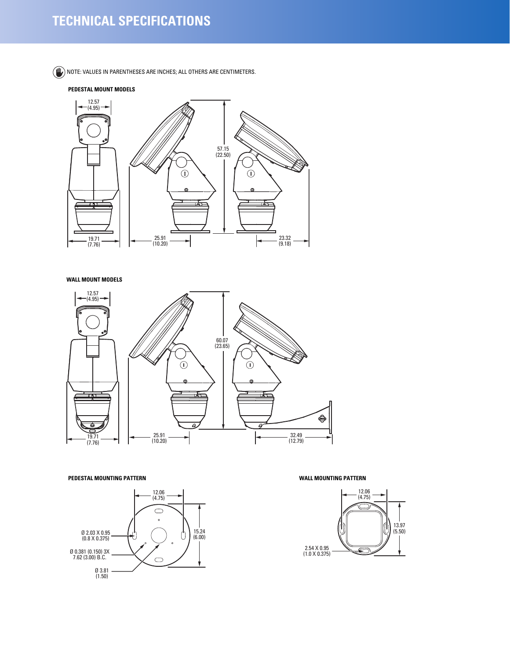# **TECHNICAL SPECIFICATIONS**

 $(\mathbb{W})$  note: values in parentheses are inches; all others are centimeters.

#### **PEDESTAL MOUNT MODELS**



#### **WALL MOUNT MODELS**



#### **PEDESTAL MOUNTING PATTERN WALL MOUNTING PATTERN**



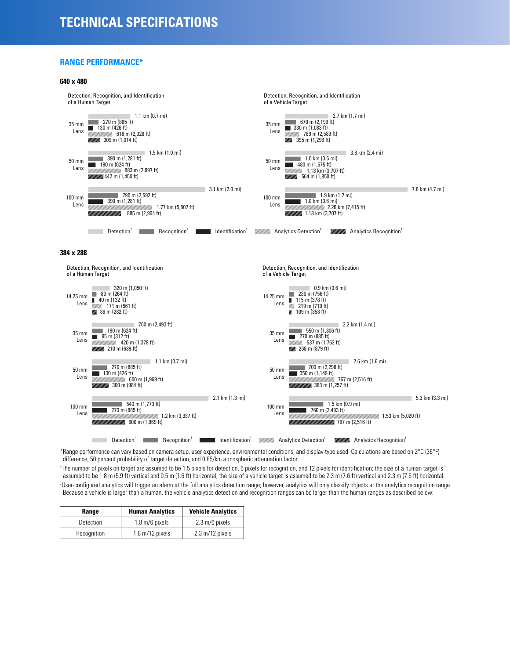### **RANGE PERFORMANCE\***



\*Range performance can vary based on camera setup, user experience, environmental conditions, and display type used. Calculations are based on 2°C (36°F) difference, 50 percent probability of target detection, and 0.85/km atmospheric attenuation factor.

† The number of pixels on target are assumed to be 1.5 pixels for detection, 6 pixels for recognition, and 12 pixels for identification; the size of a human target is assumed to be 1.8 m (5.9 ft) vertical and 0.5 m (1.6 ft) horizontal; the size of a vehicle target is assumed to be 2.3 m (7.6 ft) vertical and 2.3 m (7.6 ft) horizontal.

‡ User-configured analytics will trigger an alarm at the full analytics detection range; however, analytics will only classify objects at the analytics recognition range. Because a vehicle is larger than a human, the vehicle analytics detection and recognition ranges can be larger than the human ranges as described below:

| Range       | <b>Human Analytics</b>            | <b>Vehicle Analytics</b>          |
|-------------|-----------------------------------|-----------------------------------|
| Detection   | $1.8 \text{ m}/6$ pixels          | $2.3 \text{ m}/6$ pixels          |
| Recognition | $1.8 \text{ m}/12 \text{ pixels}$ | $2.3 \text{ m}/12 \text{ pixels}$ |